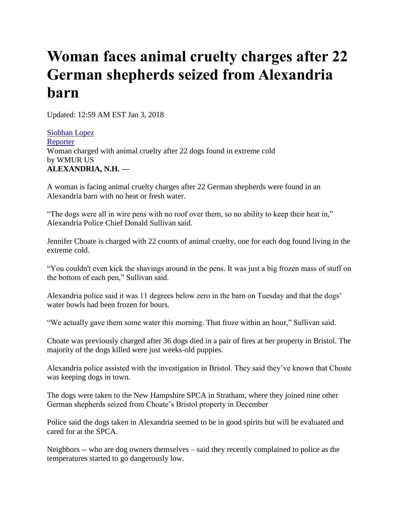## **Woman faces animal cruelty charges after 22 German shepherds seized from Alexandria barn**

Updated: 12:59 AM EST Jan 3, 2018

[Siobhan Lopez](http://www.wmur.com/news-team/fbdd473c-6c0d-4ed6-9005-7067e9b20127)  [Reporter](http://www.wmur.com/news-team/fbdd473c-6c0d-4ed6-9005-7067e9b20127)  Woman charged with animal cruelty after 22 dogs found in extreme cold by WMUR US **ALEXANDRIA, N.H. —**

A woman is facing animal cruelty charges after 22 German shepherds were found in an Alexandria barn with no heat or fresh water.

"The dogs were all in wire pens with no roof over them, so no ability to keep their heat in," Alexandria Police Chief Donald Sullivan said.

Jennifer Choate is charged with 22 counts of animal cruelty, one for each dog found living in the extreme cold.

"You couldn't even kick the shavings around in the pens. It was just a big frozen mass of stuff on the bottom of each pen," Sullivan said.

Alexandria police said it was 11 degrees below zero in the barn on Tuesday and that the dogs' water bowls had been frozen for hours.

"We actually gave them some water this morning. That froze within an hour," Sullivan said.

Choate was previously charged after 36 dogs died in a pair of fires at her property in Bristol. The majority of the dogs killed were just weeks-old puppies.

Alexandria police assisted with the investigation in Bristol. They said they've known that Choate was keeping dogs in town.

The dogs were taken to the New Hampshire SPCA in Stratham, where they joined nine other German shepherds seized from Choate's Bristol property in December

Police said the dogs taken in Alexandria seemed to be in good spirits but will be evaluated and cared for at the SPCA.

Neighbors -- who are dog owners themselves – said they recently complained to police as the temperatures started to go dangerously low.